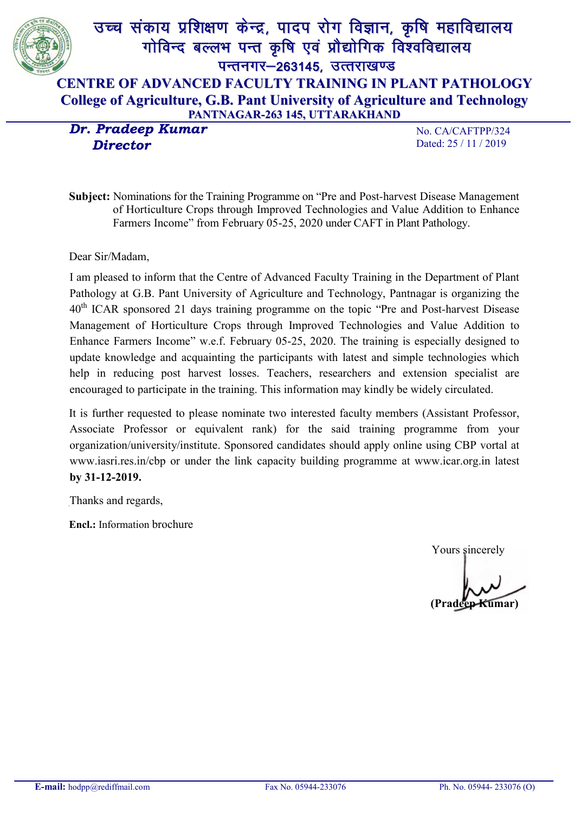

 *Director*

No. CA/CAFTPP/324 Dated: 25 / 11 / 2019

Subject: Nominations for the Training Programme on "Pre and Post*-*harvest Disease Management of Horticulture Crops through Improved Technologies and Value Addition to Enhance Farmers Income" from February 05-25, 2020 under CAFT in Plant Pathology.

Dear Sir/Madam,

I am pleased to inform that the Centre of Advanced Faculty Training in the Department of Plant Pathology at G.B. Pant University of Agriculture and Technology, Pantnagar is organizing the 40th ICAR sponsored 21 days training programme on the topic "Pre and Post*-*harvest Disease Management of Horticulture Crops through Improved Technologies and Value Addition to Enhance Farmers Income" w.e.f. February 05-25, 2020. The training is especially designed to update knowledge and acquainting the participants with latest and simple technologies which help in reducing post harvest losses. Teachers, researchers and extension specialist are encouraged to participate in the training. This information may kindly be widely circulated.

It is further requested to please nominate two interested faculty members (Assistant Professor, Associate Professor or equivalent rank) for the said training programme from your organization/university/institute. Sponsored candidates should apply online using CBP vortal at www.iasri.res.in/cbp or under the link capacity building programme at www.icar.org.in latest by 31-12-2019.

Thanks and regards,

Encl.: Information brochure

Yours sincerely

(Pradeep Kumar)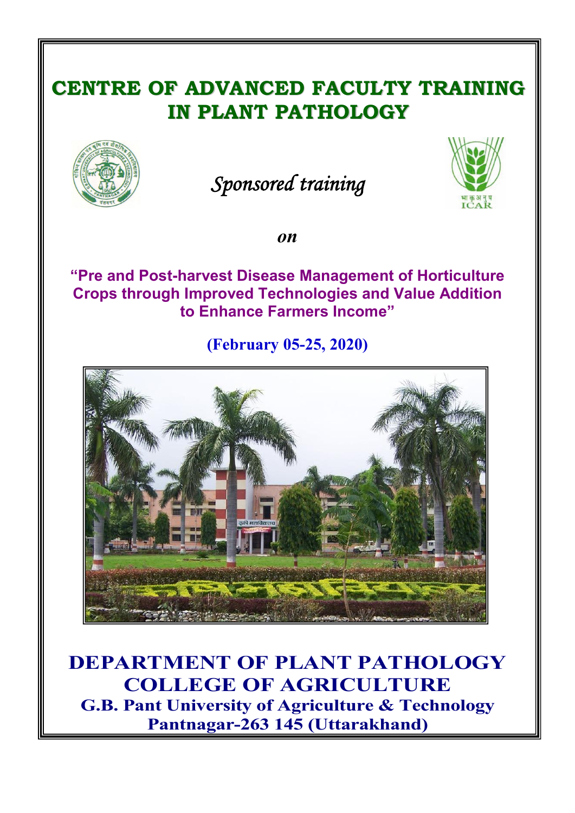# CENTRE OF ADVANCED FACULTY TRAINING IN PLANT PATHOLOGY



# *Sponsored training*



*on*

"Pre and Post-harvest Disease Management of Horticulture Crops through Improved Technologies and Value Addition to Enhance Farmers Income"

(February 05-25, 2020)



DEPARTMENT OF PLANT PATHOLOGY COLLEGE OF AGRICULTURE G.B. Pant University of Agriculture & Technology Pantnagar-263 145 (Uttarakhand)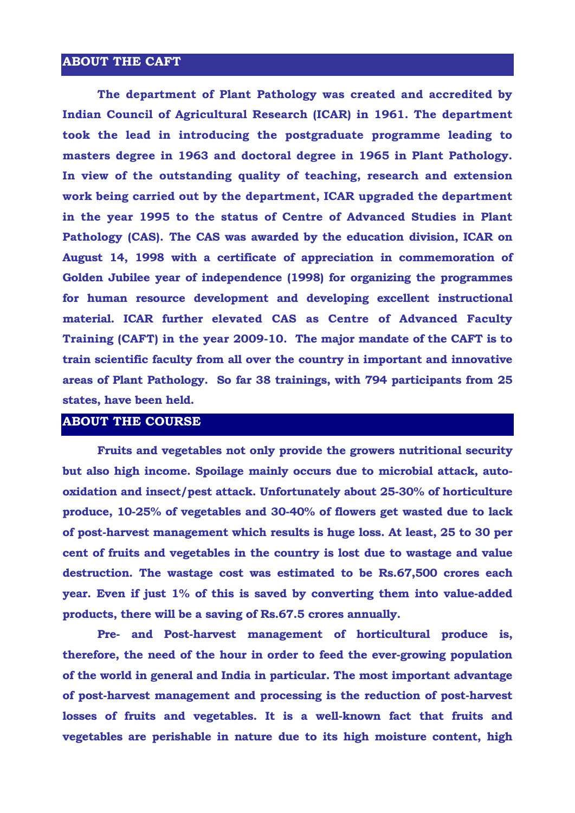#### ABOUT THE CAFT

The department of Plant Pathology was created and accredited by Indian Council of Agricultural Research (ICAR) in 1961. The department took the lead in introducing the postgraduate programme leading to masters degree in 1963 and doctoral degree in 1965 in Plant Pathology. In view of the outstanding quality of teaching, research and extension work being carried out by the department, ICAR upgraded the department in the year 1995 to the status of Centre of Advanced Studies in Plant Pathology (CAS). The CAS was awarded by the education division, ICAR on August 14, 1998 with a certificate of appreciation in commemoration of Golden Jubilee year of independence (1998) for organizing the programmes for human resource development and developing excellent instructional material. ICAR further elevated CAS as Centre of Advanced Faculty Training (CAFT) in the year 2009-10. The major mandate of the CAFT is to train scientific faculty from all over the country in important and innovative areas of Plant Pathology. So far 38 trainings, with 794 participants from 25 states, have been held.

#### ABOUT THE COURSE

Fruits and vegetables not only provide the growers nutritional security but also high income. Spoilage mainly occurs due to microbial attack, autooxidation and insect/pest attack. Unfortunately about 25-30% of horticulture produce, 10-25% of vegetables and 30-40% of flowers get wasted due to lack of post-harvest management which results is huge loss. At least, 25 to 30 per cent of fruits and vegetables in the country is lost due to wastage and value destruction. The wastage cost was estimated to be Rs.67,500 crores each year. Even if just 1% of this is saved by converting them into value-added products, there will be a saving of Rs.67.5 crores annually.

Pre- and Post-harvest management of horticultural produce is, therefore, the need of the hour in order to feed the ever-growing population of the world in general and India in particular. The most important advantage of post-harvest management and processing is the reduction of post-harvest losses of fruits and vegetables. It is a well-known fact that fruits and vegetables are perishable in nature due to its high moisture content, high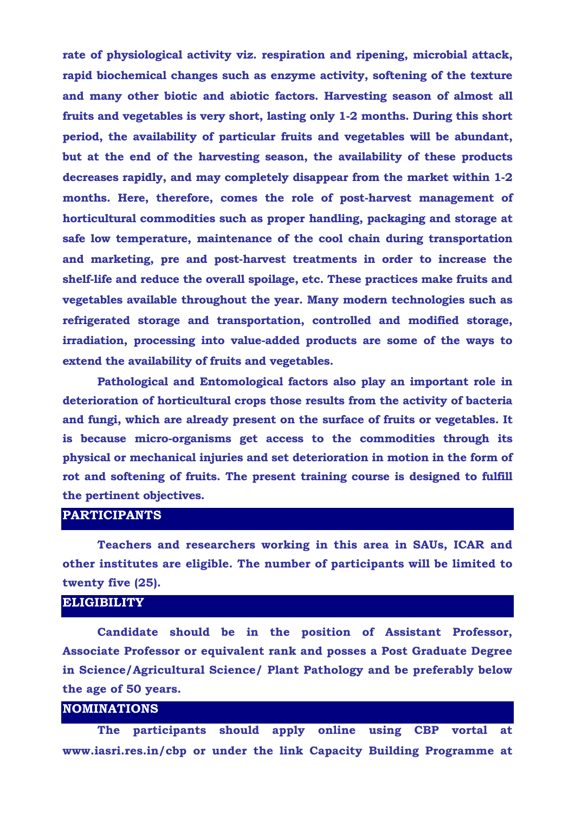rate of physiological activity viz. respiration and ripening, microbial attack, rapid biochemical changes such as enzyme activity, softening of the texture and many other biotic and abiotic factors. Harvesting season of almost all fruits and vegetables is very short, lasting only 1-2 months. During this short period, the availability of particular fruits and vegetables will be abundant, but at the end of the harvesting season, the availability of these products decreases rapidly, and may completely disappear from the market within 1-2 months. Here, therefore, comes the role of post-harvest management of horticultural commodities such as proper handling, packaging and storage at safe low temperature, maintenance of the cool chain during transportation and marketing, pre and post-harvest treatments in order to increase the shelf-life and reduce the overall spoilage, etc. These practices make fruits and vegetables available throughout the year. Many modern technologies such as refrigerated storage and transportation, controlled and modified storage, irradiation, processing into value-added products are some of the ways to extend the availability of fruits and vegetables.

Pathological and Entomological factors also play an important role in deterioration of horticultural crops those results from the activity of bacteria and fungi, which are already present on the surface of fruits or vegetables. It is because micro-organisms get access to the commodities through its physical or mechanical injuries and set deterioration in motion in the form of rot and softening of fruits. The present training course is designed to fulfill the pertinent objectives.

# PARTICIPANTS

Teachers and researchers working in this area in SAUs, ICAR and other institutes are eligible. The number of participants will be limited to twenty five (25).

## **ELIGIBILITY**

Candidate should be in the position of Assistant Professor, Associate Professor or equivalent rank and posses a Post Graduate Degree in Science/Agricultural Science/ Plant Pathology and be preferably below the age of 50 years.

## NOMINATIONS

The participants should apply online using CBP vortal at www.iasri.res.in/cbp or under the link Capacity Building Programme at